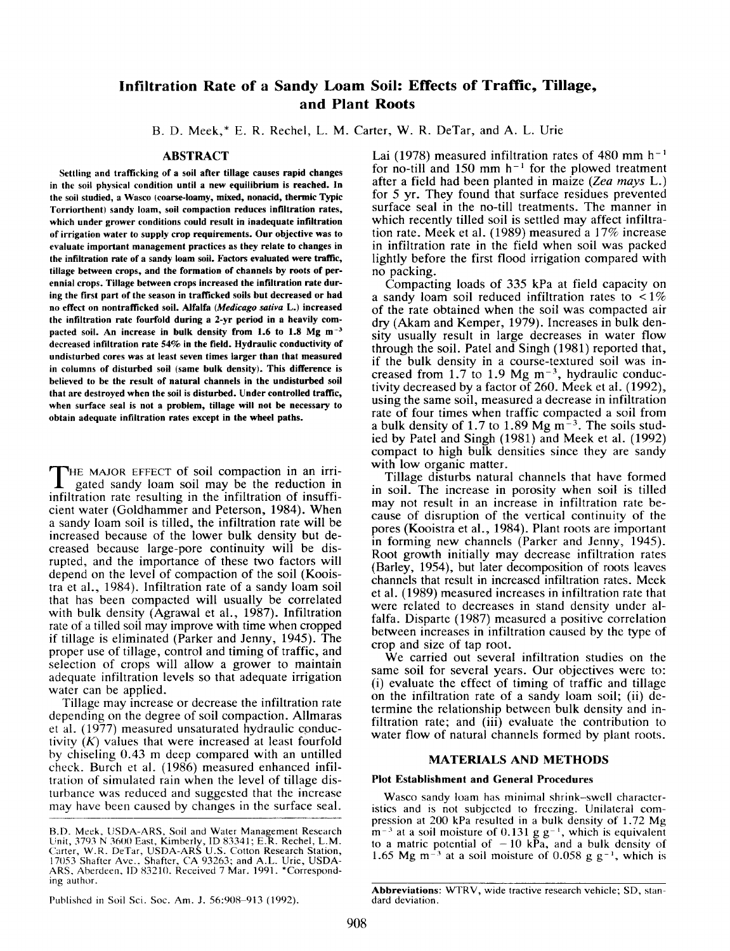# **Infiltration Rate of a Sandy Loam Soil: Effects of Traffic, Tillage, and Plant Roots**

B. D. Meek,\* E. R. Rechel, L. M. Carter, W. R. DeTar, and A. L. Urie

### **ABSTRACT**

Settling and trafficking of a soil after tillage causes rapid changes in the soil physical condition until a new equilibrium is reached. In the soil studied, a Wasco (coarse-loamy, mixed, nonacid, thermic Typic Torriorthent) sandy loam, soil compaction reduces infiltration rates, which under grower conditions could result in inadequate infiltration of irrigation water to supply crop requirements. Our objective was to evaluate important management practices as they relate to changes in the infiltration rate of a sandy loam soil. Factors evaluated were traffic, tillage between crops, and the formation of channels by roots of perennial crops. Tillage between crops increased the infiltration rate during the first part of the season in trafficked soils but decreased or had no effect on nontrafficked soil. Alfalfa *(Medicago sativa* L.) increased the infiltration rate fourfold during a 2-yr period in a heavily compacted soil. An increase in bulk density from 1.6 to 1.8 Mg m<sup>-3</sup> decreased infiltration rate 54% in the field. Hydraulic conductivity of undisturbed cores was at least seven times larger than that measured in columns of disturbed soil (same bulk density). This difference is believed to be the result of natural channels in the undisturbed soil that are destroyed when the soil is disturbed. Under controlled traffic, when surface seal is not a problem, tillage will not be necessary to obtain adequate infiltration rates except in the wheel paths.

THE MAJOR EFFECT of soil compaction in an irrigated sandy loam soil may be the reduction irrifiltration rate resulting in the infiltration of insuffi-THE MAJOR EFFECT of soil compaction in an irrigated sandy loam soil may be the reduction in cient water (Goldhammer and Peterson, 1984). When a sandy loam soil is tilled, the infiltration rate will be increased because of the lower bulk density but decreased because large-pore continuity will be disrupted, and the importance of these two factors will depend on the level of compaction of the soil (Kooistra et al., 1984). Infiltration rate of a sandy loam soil that has been compacted will usually be correlated with bulk density (Agrawal et al., 1987). Infiltration rate of a tilled soil may improve with time when cropped if tillage is eliminated (Parker and Jenny, 1945). The proper use of tillage, control and timing of traffic, and selection of crops will allow a grower to maintain adequate infiltration levels so that adequate irrigation water can be applied.

Tillage may increase or decrease the infiltration rate depending on the degree of soil compaction. Allmaras et al. (1977) measured unsaturated hydraulic conductivity *(K)* values that were increased at least fourfold by chiseling 0.43 m deep compared with an untilled check. Burch et al. (1986) measured enhanced infiltration of simulated rain when the level of tillage disturbance was reduced and suggested that the increase may have been caused by changes in the surface seal.

Lai (1978) measured infiltration rates of 480 mm  $h^{-1}$ for no-till and 150 mm  $h^{-1}$  for the plowed treatment after a field had been planted in maize *(Zea mays* L.) for 5 yr. They found that surface residues prevented surface seal in the no-till treatments. The manner in which recently tilled soil is settled may affect infiltration rate. Meek et al. (1989) measured a 17% increase in infiltration rate in the field when soil was packed lightly before the first flood irrigation compared with no packing.

Compacting loads of 335 kPa at field capacity on a sandy loam soil reduced infiltration rates to  $\lt 1\%$ of the rate obtained when the soil was compacted air dry (Akam and Kemper, 1979). Increases in bulk density usually result *in* large decreases in water flow through the soil. Patel and Singh (1981) reported that, if the bulk density in a course-textured soil was increased from  $1.7$  to  $1.9$  Mg m<sup>-3</sup>, hydraulic conductivity decreased by a factor of 260. Meek et al. (1992), using the same soil, measured a decrease in infiltration rate of four times when traffic compacted a soil from a bulk density of 1.7 to 1.89 Mg  $m<sup>2</sup>$ . The soils studied by Patel and Singh (1981) and Meek et al. (1992) compact to high bulk densities since they are sandy with low organic matter.

Tillage disturbs natural channels that have formed in soil. The increase in porosity when soil is tilled may not result in an increase in infiltration rate because of disruption of the vertical continuity of the pores (Kooistra et al., 1984). Plant roots are important in forming new channels (Parker and Jenny, 1945). Root growth initially may decrease infiltration rates (Barley, 1954), but later decomposition of roots leaves channels that result in increased infiltration rates. Meek et al. (1989) measured increases in infiltration rate that were related to decreases in stand density under alfalfa. Disparte (1987) measured a positive correlation between increases in infiltration caused by the type of crop and size of tap root.

We carried out several infiltration studies on the same soil for several years. Our objectives were to: (i) evaluate the effect of timing of traffic and tillage on the infiltration rate of a sandy loam soil; (ii) determine the relationship between bulk density and infiltration rate; and (iii) evaluate the contribution to water flow of natural channels formed by plant roots.

# **MATERIALS AND METHODS**

#### **Plot Establishment and General Procedures**

Wasco sandy loam has minimal shrink—swell characteristics and is not subjected to freezing. Unilateral compression at 200 kPa resulted in a bulk density of 1.72 Mg  $m^{-3}$  at a soil moisture of 0.131 g g<sup>-1</sup>, which is equivalent to a matric potential of  $-10$  kPa, and a bulk density of 1.65 Mg m<sup> $-3$ </sup> at a soil moisture of 0.058 g g<sup>-1</sup>, which is

Published in Soil Sci. Soc. Am. J. 56:908-913 (1992).

Abbreviations: WTRV, wide tractive research vehicle; SD, standard deviation.

B.D. Meek, USDA-ARS, Soil and Water Management Research Unit, 3793 N 3600 East, Kimberly, ID 83341; E.R. Rechel, L.M. Carter, W.R. DeTar, USDA-ARS U.S. Cotton Research Station, 17053 Shafter Ave., Shafter, CA 93263; and A.L. Urie, USDA-<br>ARS, Aberdeen, ID 83210. Received 7 Mar. 1991. \*Corresponding author.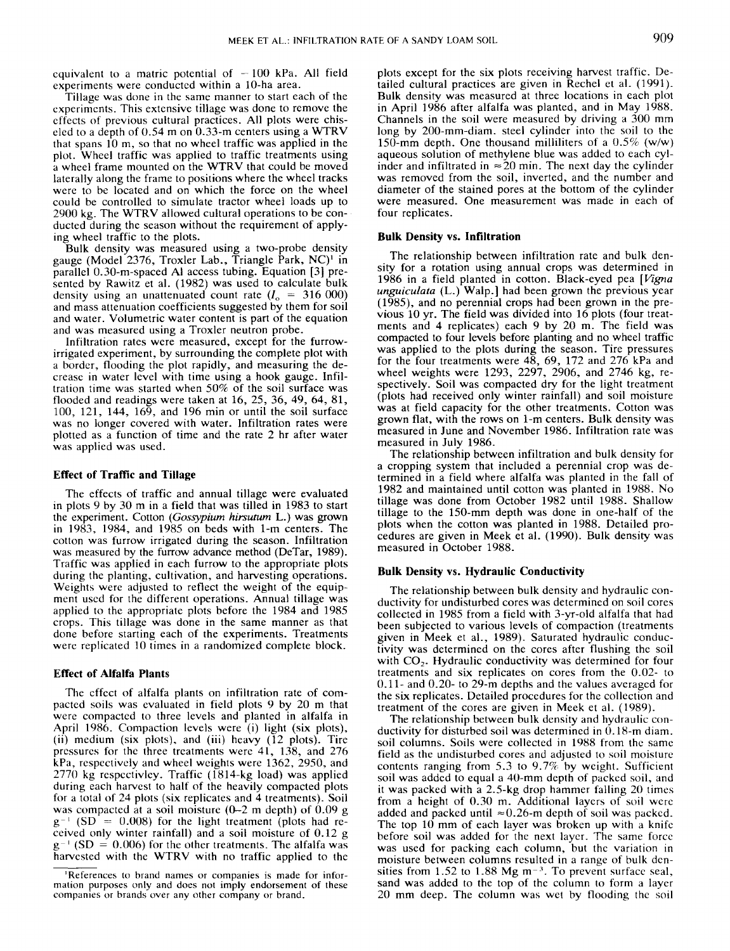equivalent to a matric potential of  $-100$  kPa. All field experiments were conducted within a 10-ha area.

Tillage was done in the same manner to start each of the experiments. This extensive tillage was done to remove the effects of previous cultural practices. All plots were chiseled to a depth of 0.54 m on 0.33-m centers using a WTRV that spans 10 m, so that no wheel traffic was applied in the plot. Wheel traffic was applied to traffic treatments using a wheel frame mounted on the WTRV that could be moved laterally along the frame to positions where the wheel tracks were to be located and on which the force on the wheel could be controlled to simulate tractor wheel loads up to 2900 kg. The WTRV allowed cultural operations to be conducted during the season without the requirement of applying wheel traffic to the plots.

Bulk density was measured using a two-probe density gauge (Model 2376, Troxler Lab., Triangle Park, NC)' in parallel 0.30-m-spaced Al access tubing. Equation [3] presented by Rawitz et al. (1982) was used to calculate bulk density using an unattenuated count rate  $(I_0 = 316000)$ and mass attenuation coefficients suggested by them for soil and water. Volumetric water content is part of the equation and was measured using a Troxler neutron probe.

Infiltration rates were measured, except for the furrowirrigated experiment, by surrounding the complete plot with a border, flooding the plot rapidly, and measuring the decrease in water level with time using a hook gauge. Infiltration time was started when 50% of the soil surface was flooded and readings were taken at 16, 25, 36, 49, 64, 81, 100, 121, 144, 169, and 196 min or until the soil surface was no longer covered with water. Infiltration rates were plotted as a function of time and the rate 2 hr after water was applied was used.

#### **Effect of Traffic and Tillage**

The effects of traffic and annual tillage were evaluated in plots 9 by 30 m in a field that was tilled in 1983 to start the experiment. Cotton *(Gossypium hirsutum* L.) was grown in 1983, 1984, and 1985 on beds with 1-m centers. The cotton was furrow irrigated during the season. Infiltration was measured by the furrow advance method (DeTar, 1989). Traffic was applied in each furrow to the appropriate plots during the planting, cultivation, and harvesting operations. Weights were adjusted to reflect the weight of the equipment used for the different operations. Annual tillage was applied to the appropriate plots before the 1984 and 1985 crops. This tillage was done in the same manner as that done before starting each of the experiments. Treatments were replicated 10 times in a randomized complete block.

### **Effect of Alfalfa Plants**

The effect of alfalfa plants on infiltration rate of compacted soils was evaluated in field plots 9 by 20 m that were compacted to three levels and planted in alfalfa in April 1986. Compaction levels were (i) light (six plots), (ii) medium (six plots), and (iii) heavy  $(12 \text{ plots})$ . Tire pressures for the three treatments were 41, 138, and 276 kPa, respectively and wheel weights were 1362, 2950, and 2770 kg respectivley. Traffic (1814-kg load) was applied during each harvest to half of the heavily compacted plots for a total of 24 plots (six replicates and 4 treatments). Soil was compacted at a soil moisture  $(0-2 \text{ m depth})$  of  $0.09 \text{ g}$  $g^{-1}$  (SD = 0.008) for the light treatment (plots had received only winter rainfall) and a soil moisture of 0.12 g  $g^{-1}$  (SD = 0.006) for the other treatments. The alfalfa was harvested with the WTRV with no traffic applied to the

plots except for the six plots receiving harvest traffic. Detailed cultural practices are given in Rechel et al. (1991). Bulk density was measured at three locations in each plot in April 1986 after alfalfa was planted, and in May 1988. Channels in the soil were measured by driving a 300 mm long by 200-mm-diam. steel cylinder into the soil to the 150-mm depth. One thousand milliliters of a 0.5% (w/w) aqueous solution of methylene blue was added to each cylinder and infiltrated in  $\approx 20$  min. The next day the cylinder was removed from the soil, inverted, and the number and diameter of the stained pores at the bottom of the cylinder were measured. One measurement was made in each of four replicates.

## **Bulk Density vs. Infiltration**

The relationship between infiltration rate and bulk density for a rotation using annual crops was determined in 1986 in a field planted in cotton. Black-eyed pea *[Vigna unguiculata* (L.) Walp.] had been grown the previous year (1985), and no perennial crops had been grown in the previous 10 yr. The field was divided into 16 plots (four treatments and 4 replicates) each 9 by 20 m. The field was compacted to four levels before planting and no wheel traffic was applied to the plots during the season. Tire pressures for the four treatments were  $48, 69, 172$  and  $276$  kPa and wheel weights were 1293, 2297, 2906, and 2746 kg, respectively. Soil was compacted dry for the light treatment (plots had received only winter rainfall) and soil moisture was at field capacity for the other treatments. Cotton was grown flat, with the rows on 1-m centers. Bulk density was measured in June and November 1986. Infiltration rate was measured in July 1986.

The relationship between infiltration and bulk density for a cropping system that included a perennial crop was determined in a field where alfalfa was planted in the fall of 1982 and maintained until cotton was planted in 1988. No tillage was done from October 1982 until 1988. Shallow tillage to the 150-mm depth was done in one-half of the plots when the cotton was planted in 1988. Detailed procedures are given in Meek et al. (1990). Bulk density was measured in October 1988.

#### **Bulk Density vs. Hydraulic Conductivity**

The relationship between bulk density and hydraulic conductivity for undisturbed cores was determined on soil cores collected in 1985 from a field with 3-yr-old alfalfa that had been subjected to various levels of compaction (treatments given in Meek et al., 1989). Saturated hydraulic conductivity was determined on the cores after flushing the soil with  $CO<sub>2</sub>$ . Hydraulic conductivity was determined for four treatments and six replicates on cores from the 0.02- to 0.11- and 0.20- to 29-m depths and the values averaged for the six replicates. Detailed procedures for the collection and treatment of the cores are given in Meek et al. (1989).

The relationship between bulk density and hydraulic conductivity for disturbed soil was determined in  $0.18$ -m diam. soil columns. Soils were collected in 1988 from the same field as the undisturbed cores and adjusted to soil moisture contents ranging from 5.3 to 9.7% by weight. Sufficient soil was added to equal a 40-mm depth of packed soil, and it was packed with a 2.5-kg drop hammer falling 20 times from a height of 0.30 m. Additional layers of soil were added and packed until  $\approx 0.26$ -m depth of soil was packed. The top  $10 \text{ mm}$  of each layer was broken up with a knife before soil was added for the next layer. The same force was used for packing each column, but the variation in moisture between columns resulted in a range of bulk densities from 1.52 to 1.88 Mg  $m<sup>-3</sup>$ . To prevent surface seal, sand was added to the top of the column to form a layer 20 mm deep. The column was wet by flooding the soil

<sup>&#</sup>x27;References to brand names or companies is made for information purposes only and does not imply endorsement of these companies or brands over any other company or brand.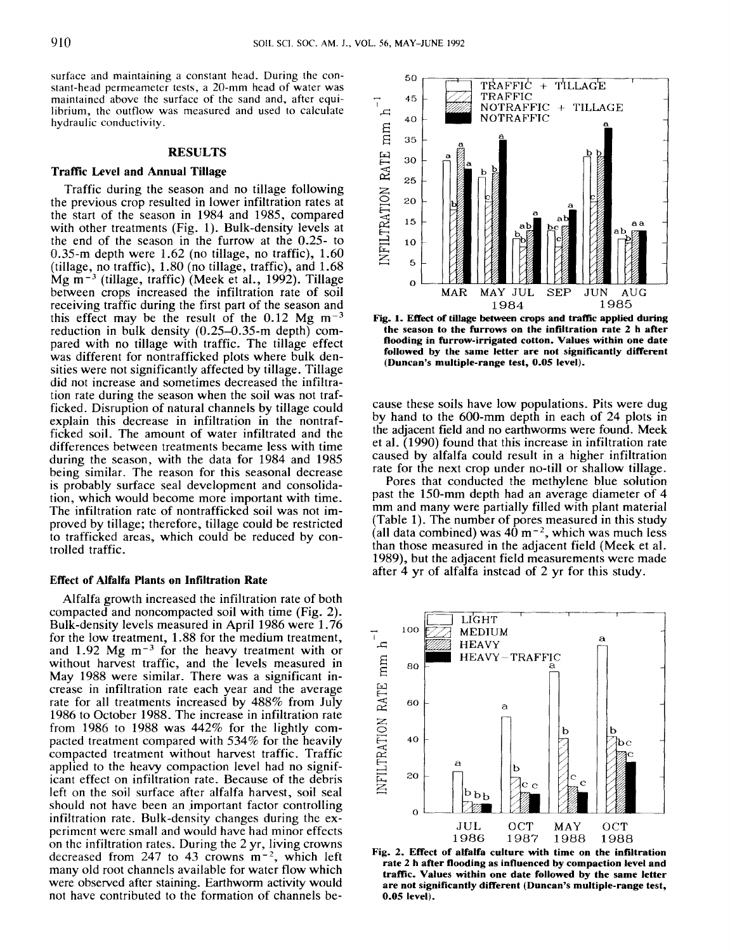surface and maintaining a constant head. During the constant-head permeameter tests, a 20-mm head of water was maintained above the surface of the sand and, after equilibrium, the outflow was measured and used to calculate hydraulic conductivity.

## **RESULTS**

## **Traffic Level and Annual Tillage**

Traffic during the season and no tillage following the previous crop resulted in lower infiltration rates at the start of the season in 1984 and 1985, compared with other treatments (Fig. 1). Bulk-density levels at the end of the season in the furrow at the 0.25- to 0.35-m depth were 1.62 (no tillage, no traffic), 1.60 (tillage, no traffic), 1.80 (no tillage, traffic), and 1.68 Mg  $m^{-3}$  (tillage, traffic) (Meek et al., 1992). Tillage between crops increased the infiltration rate of soil receiving traffic during the first part of the season and this effect may be the result of the  $0.12$  Mg m<sup>-3</sup> reduction in bulk density (0.25-0.35-m depth) compared with no tillage with traffic. The tillage effect was different for nontrafficked plots where bulk densities were not significantly affected by tillage. Tillage did not increase and sometimes decreased the infiltration rate during the season when the soil was not trafficked. Disruption of natural channels by tillage could explain this decrease in infiltration in the nontrafficked soil. The amount of water infiltrated and the differences between treatments became less with time during the season, with the data for 1984 and 1985 being similar. The reason for this seasonal decrease is probably surface seal development and consolidation, which would become more important with time. The infiltration rate of nontrafficked soil was not improved by tillage; therefore, tillage could be restricted to trafficked areas, which could be reduced by controlled traffic.

#### **Effect of Alfalfa Plants on Infiltration Rate**

Alfalfa growth increased the infiltration rate of both compacted and noncompacted soil with time (Fig. 2). Bulk-density levels measured in April 1986 were 1.76 for the low treatment, 1.88 for the medium treatment, and 1.92 Mg  $m^{-3}$  for the heavy treatment with or without harvest traffic, and the levels measured in May 1988 were similar. There was a significant increase in infiltration rate each year and the average rate for all treatments increased by 488% from July 1986 to October 1988. The increase in infiltration rate from 1986 to 1988 was 442% for the lightly compacted treatment compared with 534% for the heavily compacted treatment without harvest traffic. Traffic applied to the heavy compaction level had no significant effect on infiltration rate. Because of the debris left on the soil surface after alfalfa harvest, soil seal should not have been an important factor controlling infiltration rate. Bulk-density changes during the experiment were small and would have had minor effects on the infiltration rates. During the 2 yr, living crowns decreased from 247 to 43 crowns  $m^{-2}$ , which left many old root channels available for water flow which were observed after staining. Earthworm activity would not have contributed to the formation of channels be-



**Fig. 1. Effect of tillage between crops and traffic applied during the season to the furrows on the infiltration rate 2 h after flooding in furrow-irrigated cotton. Values within one date followed by the same letter are not significantly different (Duncan's multiple-range test, 0.05 level).**

cause these soils have low populations. Pits were dug by hand to the 600-mm depth in each of 24 plots in the adjacent field and no earthworms were found. Meek et al. (1990) found that this increase in infiltration rate caused by alfalfa could result in a higher infiltration rate for the next crop under no-till or shallow tillage.

Pores that conducted the methylene blue solution past the 150-mm depth had an average diameter of 4 mm and many were partially filled with plant material (Table 1). The number of pores measured in this study (all data combined) was  $40 \text{ m}^{-2}$ , which was much less than those measured in the adjacent field (Meek et al. 1989), but the adjacent field measurements were made after 4 yr of alfalfa instead of 2 yr for this study.



**Fig. 2. Effect of alfalfa culture with time on the infiltration rate 2 h after flooding as influenced by compaction level and traffic. Values within one date followed by the same letter are not significantly different (Duncan's multiple-range test, 0.05 level).**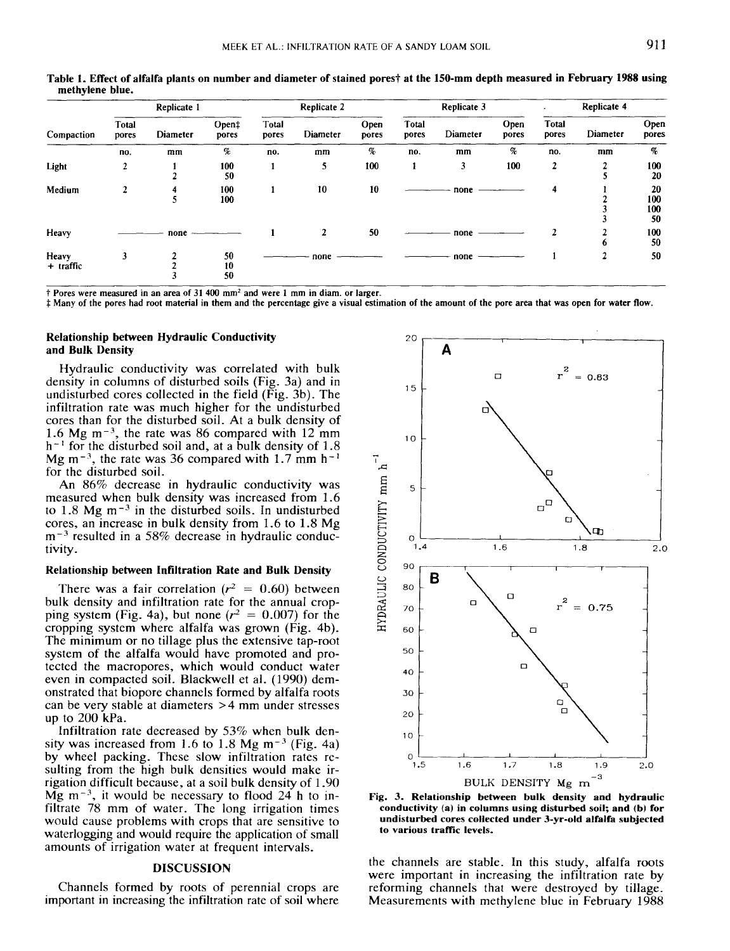Replicate 1 **Replicate 2** Replicate 2 **Replicate 3** Replicate 4 **Replicate 4 Replicate 4** Total Total Open‡ Total Open Total Open Open pores Diameter pores Diameter pores Diameter pores Diameter pores Compaction pores pores pores  $\%$ no. m.m  $\%$  no. mm  $\%$  no. mm  $\%$  no. mm Light 2 <sup>1</sup> 100 5 100 <sup>1</sup> 3 100 2 2 100 2 50 50 5 20 Medium 2 4 100 <sup>1</sup> 10 10 none 4 <sup>1</sup> 20  $5 \t 100$  2 100  $\begin{array}{ccc} 3 & 100 \\ 3 & 50 \end{array}$ 50 Heavy none <sup>1</sup> 2 50 none 2 2 100 6 50 Heavy 3 2 50 —————— none —————— none ————— 1 2 50 + traffic  $\begin{array}{ccc} 3 & 2 & 50 \\ + & \text{traffic} & 2 & 10 \\ 3 & 50 & 3 \end{array}$ 3 50

Table 1. Effect of alfalfa plants on number and diameter of stained pores† at the 150-mm depth measured in February 1988 using **methylene blue.**

t Pores were measured in an area of 31 400 mm2 and were 1 mm in diam. or larger.

Many of the pores had root material in them and the percentage give a visual estimation of the amount of the pore area that was open for water flow.

# **Relationship between Hydraulic Conductivity and Bulk Density**

Hydraulic conductivity was correlated with bulk density in columns of disturbed soils (Fig. 3a) and in undisturbed cores collected in the field (Fig. 3b). The infiltration rate was much higher for the undisturbed cores than for the disturbed soil. At a bulk density of 1.6 Mg  $m^{-3}$ , the rate was 86 compared with 12 mm  $h^{-1}$  for the disturbed soil and, at a bulk density of 1.8 Mg m<sup>-3</sup>, the rate was 36 compared with 1.7 mm h<sup>-1</sup> for the disturbed soil.

An 86% decrease in hydraulic conductivity was measured when bulk density was increased from 1.6 to 1.8 Mg  $m<sup>-3</sup>$  in the disturbed soils. In undisturbed cores, an increase in bulk density from 1.6 to 1.8 Mg  $m<sup>-3</sup>$  resulted in a 58% decrease in hydraulic conductivity.

## **Relationship between Infiltration Rate and Bulk Density**

There was a fair correlation ( $r^2 = 0.60$ ) between bulk density and infiltration rate for the annual cropping system (Fig. 4a), but none ( $r^2 = 0.007$ ) for the cropping system where alfalfa was grown (Fig. 4b). The minimum or no tillage plus the extensive tap-root system of the alfalfa would have promoted and protected the macropores, which would conduct water even in compacted soil. Blackwell et al. (1990) demonstrated that biopore channels formed by alfalfa roots can be very stable at diameters >4 mm under stresses up to 200 kPa.

Infiltration rate decreased by 53% when bulk density was increased from 1.6 to 1.8 Mg  $m^{-3}$  (Fig. 4a) by wheel packing. These slow infiltration rates resulting from the high bulk densities would make irrigation difficult because, at a soil bulk density of 1.90 Mg  $m^{-3}$ , it would be necessary to flood 24 h to infiltrate 78 mm of water. The long irrigation times would cause problems with crops that are sensitive to waterlogging and would require the application of small amounts of irrigation water at frequent intervals.

# **DISCUSSION**

Channels formed by roots of perennial crops are important in increasing the infiltration rate of soil where



Fig. 3. **Relationship between bulk density and hydraulic conductivity (a) in columns using disturbed soil; and (b) for undisturbed cores collected under 3-yr-old alfalfa subjected to various traffic levels.**

the channels are stable. In this study, alfalfa roots were important in increasing the infiltration rate by reforming channels that were destroyed by tillage. Measurements with methylene blue in February 1988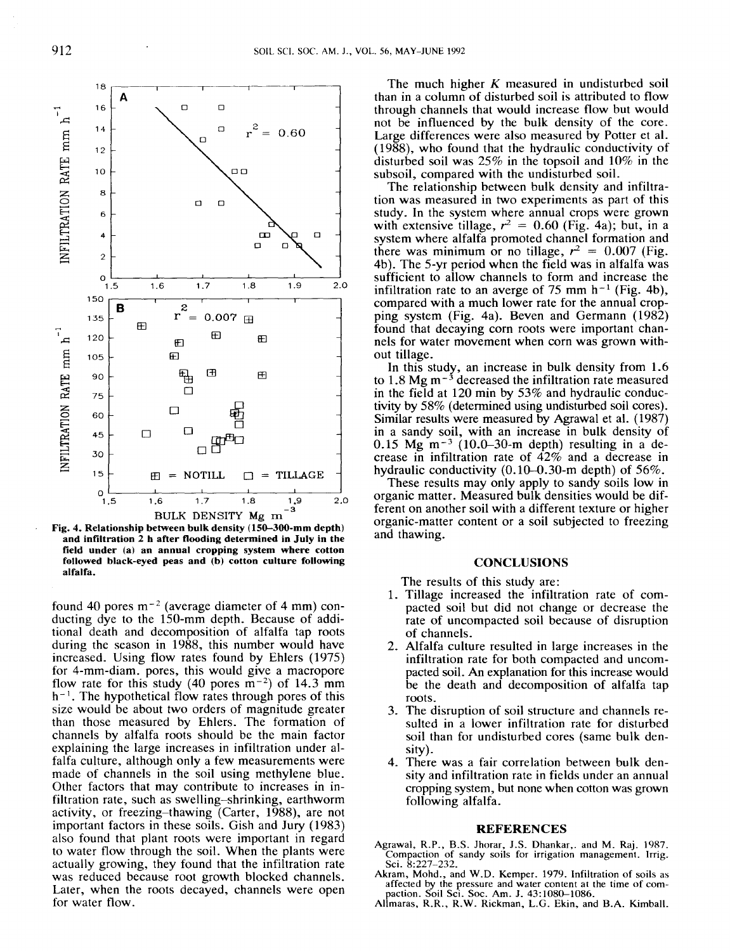

**Fig. 4. Relationship between bulk density (150-300-mm depth) and infiltration 2 h after flooding determined in July in the field under (a) an annual cropping system where cotton followed black-eyed peas and (b) cotton culture following alfalfa.**

found 40 pores  $m^{-2}$  (average diameter of 4 mm) conducting dye to the 150-mm depth. Because of additional death and decomposition of alfalfa tap roots during the season in 1988, this number would have increased. Using flow rates found by Ehlers (1975) for 4-mm-diam. pores, this would give a macropore flow rate for this study (40 pores  $\overline{m}^{-2}$ ) of 14.3 mm  $h^{-1}$ . The hypothetical flow rates through pores of this size would be about two orders of magnitude greater than those measured by Ehlers. The formation of channels by alfalfa roots should be the main factor explaining the large increases in infiltration under alfalfa culture, although only a few measurements were made of channels in the soil using methylene blue. Other factors that may contribute to increases in infiltration rate, such as swelling–shrinking, earthworm activity, or freezing–thawing (Carter, 1988), are not important factors in these soils. Gish and Jury (1983) also found that plant roots were important in regard to water flow through the soil. When the plants were actually growing, they found that the infiltration rate was reduced because root growth blocked channels. Later, when the roots decayed, channels were open for water flow.

The much higher *K* measured in undisturbed soil than in a column of disturbed soil is attributed to flow through channels that would increase flow but would not be influenced by the bulk density of the core. Large differences were also measured by Potter et al. (1988), who found that the hydraulic conductivity of disturbed soil was 25% in the topsoil and 10% in the subsoil, compared with the undisturbed soil.

The relationship between bulk density and infiltration was measured in two experiments as part of this study. In the system where annual crops were grown with extensive tillage,  $r^2 = 0.60$  (Fig. 4a); but, in a system where alfalfa promoted channel formation and there was minimum or no tillage,  $r^2 = 0.007$  (Fig. 4b). The 5-yr period when the field was in alfalfa was sufficient to allow channels to form and increase the infiltration rate to an averge of 75 mm  $h^{-1}$  (Fig. 4b), compared with a much lower rate for the annual cropping system (Fig. 4a). Beven and Germann (1982) found that decaying corn roots were important channels for water movement when corn was grown without tillage.

In this study, an increase in bulk density from 1.6 to 1.8 Mg  $m<sup>-3</sup>$  decreased the infiltration rate measured in the field at 120 min by 53% and hydraulic conductivity by 58% (determined using undisturbed soil cores). Similar results were measured by Agrawal et al. (1987) in a sandy soil, with an increase in bulk density of  $0.15$  Mg m<sup>-3</sup> (10.0–30-m depth) resulting in a decrease in infiltration rate of 42% and a decrease in hydraulic conductivity (0.10-0.30-m depth) of 56%.

These results may only apply to sandy soils low in organic matter. Measured bulk densities would be different on another soil with a different texture or higher organic-matter content or a soil subjected to freezing and thawing.

# **CONCLUSIONS**

The results of this study are:

- 1. Tillage increased the infiltration rate of compacted soil but did not change or decrease the rate of uncompacted soil because of disruption of channels.
- 2. Alfalfa culture resulted in large increases in the infiltration rate for both compacted and uncompacted soil. An explanation for this increase would be the death and decomposition of alfalfa tap roots.
- 3. The disruption of soil structure and channels resulted in a lower infiltration rate for disturbed soil than for undisturbed cores (same bulk density).
- 4. There was a fair correlation between bulk density and infiltration rate in fields under an annual cropping system, but none when cotton was grown following alfalfa.

#### **REFERENCES**

- Agrawal, R.P., B.S. Jhorar, J.S. Dhankar,. and M. Raj. 1987. Compaction of sandy soils for irrigation management. Irrig. Sci. 8:227-232.
- Akram, Mohd., and W.D. Kemper. 1979. Infiltration of soils as affected by the pressure and water content at the time of compaction. Soil Sci. Soc. Am. J. 43:1080-1086.
- Allmaras, R.R., R.W. Rickman, L.G. Ekin, and B.A. Kimball.